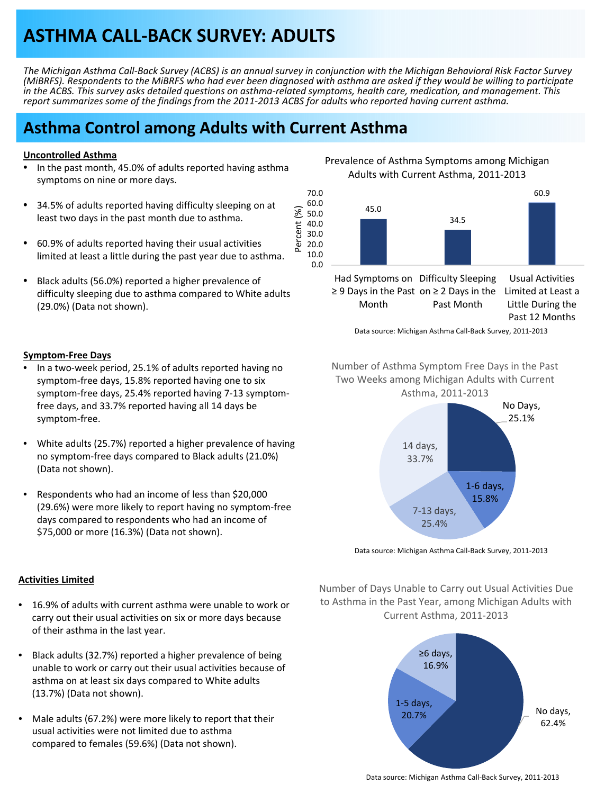# **ASTHMA CALL‐BACK SURVEY: ADULTS**

The Michigan Asthma Call-Back Survey (ACBS) is an annual survey in conjunction with the Michigan Behavioral Risk Factor Survey (MiBRFS). Respondents to the MiBRFS who had ever been diagnosed with asthma are asked if they would be willing to participate in the ACBS. This survey asks detailed questions on asthma-related symptoms, health care, medication, and management. This report summarizes some of the findings from the 2011-2013 ACBS for adults who reported having current asthma.

Percent (%)

Percent

 $\widehat{\mathbb{E}}$ 

# **Asthma Control among Adults with Current Asthma**

#### **Uncontrolled Asthma**

- In the past month, 45.0% of adults reported having asthma symptoms on nine or more days.
- 34.5% of adults reported having difficulty sleeping on at least two days in the past month due to asthma.
- 60.9% of adults reported having their usual activities limited at least a little during the past year due to asthma.
- Black adults (56.0%) reported a higher prevalence of difficulty sleeping due to asthma compared to White adults (29.0%) (Data not shown).

Prevalence of Asthma Symptoms among Michigan Adults with Current Asthma, 2011‐2013



Had Symptoms on Difficulty Sleeping ≥ 9 Days in the Past on ≥ 2 Days in the Month Past Month Limited at Least a Little During the Past 12 Months

Data source: Michigan Asthma Call‐Back Survey, 2011‐2013

Number of Asthma Symptom Free Days in the Past

#### **Symptom‐Free Days**

- In a two-week period, 25.1% of adults reported having no symptom‐free days, 15.8% reported having one to six symptom‐free days, 25.4% reported having 7‐13 symptom‐ free days, and 33.7% reported having all 14 days be symptom‐free.
- White adults (25.7%) reported a higher prevalence of having no symptom‐free days compared to Black adults (21.0%) (Data not shown).
- Respondents who had an income of less than \$20,000 (29.6%) were more likely to report having no symptom‐free days compared to respondents who had an income of \$75,000 or more (16.3%) (Data not shown).



Data source: Michigan Asthma Call‐Back Survey, 2011‐2013

#### **Activities Limited**

- 16.9% of adults with current asthma were unable to work or carry out their usual activities on six or more days because of their asthma in the last year.
- Black adults (32.7%) reported a higher prevalence of being unable to work or carry out their usual activities because of asthma on at least six days compared to White adults (13.7%) (Data not shown).
- Male adults (67.2%) were more likely to report that their usual activities were not limited due to asthma compared to females (59.6%) (Data not shown).

Number of Days Unable to Carry out Usual Activities Due to Asthma in the Past Year, among Michigan Adults with Current Asthma, 2011‐2013



Data source: Michigan Asthma Call‐Back Survey, 2011‐2013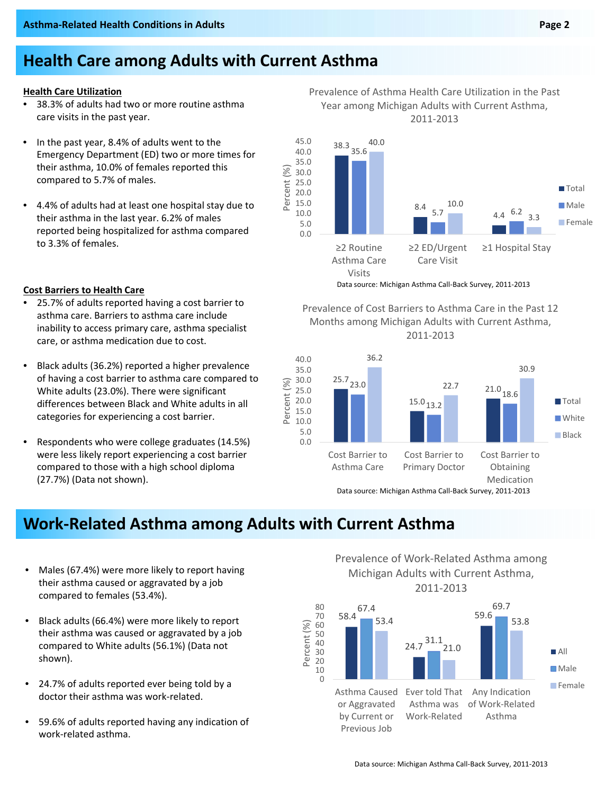#### **Health Care Utilization**

- 38.3% of adults had two or more routine asthma care visits in the past year.
- In the past year, 8.4% of adults went to the Emergency Department (ED) two or more times for their asthma, 10.0% of females reported this compared to 5.7% of males.
- 4.4% of adults had at least one hospital stay due to their asthma in the last year. 6.2% of males reported being hospitalized for asthma compared to 3.3% of females.

- 25.7% of adults reported having a cost barrier to asthma care. Barriers to asthma care include inability to access primary care, asthma specialist care, or asthma medication due to cost.
- Black adults (36.2%) reported a higher prevalence of having a cost barrier to asthma care compared to White adults (23.0%). There were significant differences between Black and White adults in all categories for experiencing a cost barrier.
- Respondents who were college graduates (14.5%) were less likely report experiencing a cost barrier compared to those with a high school diploma (27.7%) (Data not shown).

#### Prevalence of Asthma Health Care Utilization in the Past Year among Michigan Adults with Current Asthma, 2011‐2013



Data source: Michigan Asthma Call‐Back Survey, <sup>2011</sup>‐<sup>2013</sup> **Cost Barriers to Health Care**

Prevalence of Cost Barriers to Asthma Care in the Past 12 Months among Michigan Adults with Current Asthma, 2011‐2013



**Work‐Related Asthma among Adults with Current Asthma**

40 50

 $\mathcal{S}$ 

- Males (67.4%) were more likely to report having their asthma caused or aggravated by a job compared to females (53.4%).
- Black adults (66.4%) were more likely to report their asthma was caused or aggravated by a job compared to White adults (56.1%) (Data not shown).
- 24.7% of adults reported ever being told by a doctor their asthma was work‐related.
- 59.6% of adults reported having any indication of work‐related asthma.

58.4  $24.7\frac{31.1}{9}$ 59.6 67.4 69.7 53.4 21.0 53.8 60 70 80 Prevalence of Work‐Related Asthma among Michigan Adults with Current Asthma, 2011‐2013 All

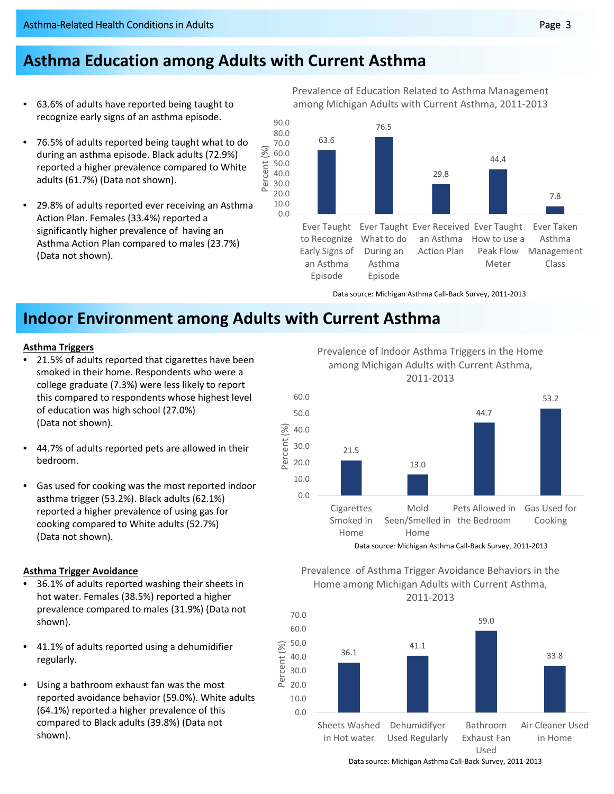# **Asthma Education among Adults with Current Asthma**

- 63.6% of adults have reported being taught to recognize early signs of an asthma episode.
- 76.5% of adults reported being taught what to do during an asthma episode. Black adults (72.9%) reported a higher prevalence compared to White adults (61.7%) (Data not shown).
- 29.8% of adults reported ever receiving an Asthma Action Plan. Females (33.4%) reported a significantly higher prevalence of having an Asthma Action Plan compared to males (23.7%) (Data not shown).

Prevalence of Education Related to Asthma Management among Michigan Adults with Current Asthma, 2011‐2013



Data source: Michigan Asthma Call‐Back Survey, 2011‐2013

# **Indoor Environment among Adults with Current Asthma**

Percent (%)

 $\mathcal{S}$ rcent Per

### **Asthma Triggers**

- 21.5% of adults reported that cigarettes have been smoked in their home. Respondents who were a college graduate (7.3%) were less likely to report this compared to respondents whose highest level of education was high school (27.0%) (Data not shown).
- 44.7% of adults reported pets are allowed in their bedroom.
- Gas used for cooking was the most reported indoor asthma trigger (53.2%). Black adults (62.1%) reported a higher prevalence of using gas for cooking compared to White adults (52.7%) (Data not shown).

### **Asthma Trigger Avoidance**

- 36.1% of adults reported washing their sheets in hot water. Females (38.5%) reported a higher prevalence compared to males (31.9%) (Data not shown).
- 41.1% of adults reported using a dehumidifier regularly.
- Using a bathroom exhaust fan was the most reported avoidance behavior (59.0%). White adults (64.1%) reported a higher prevalence of this compared to Black adults (39.8%) (Data not shown).

Prevalence of Indoor Asthma Triggers in the Home among Michigan Adults with Current Asthma, 2011‐2013







Data source: Michigan Asthma Call‐Back Survey, 2011‐2013